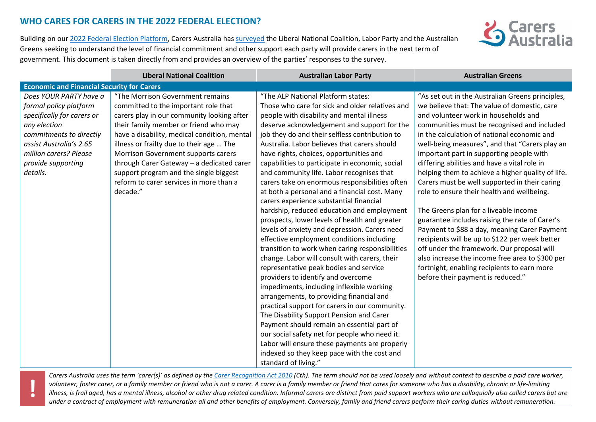## **WHO CARES FOR CARERS IN THE 2022 FEDERAL ELECTION?**

**!**



Building on our [2022 Federal Election Platform,](https://www.carersaustralia.com.au/wp-content/uploads/2022/01/FINAL_CarersAustralia-Election-Statement_27-January-2022.pdf) Carers Australia has [surveyed](https://www.carersaustralia.com.au/wp-content/uploads/2022/05/Final-Carers-Australia-Election-Survey_190422-003.pdf) the Liberal National Coalition, Labor Party and the Australian Greens seeking to understand the level of financial commitment and other support each party will provide carers in the next term of government. This document is taken directly from and provides an overview of the parties' responses to the survey.

| <b>Economic and Financial Security for Carers</b><br>Does YOUR PARTY have a<br>"The Morrison Government remains<br>"The ALP National Platform states:<br>"As set out in the Australian Greens principles,<br>Those who care for sick and older relatives and<br>we believe that: The value of domestic, care<br>formal policy platform<br>committed to the important role that<br>and volunteer work in households and<br>carers play in our community looking after<br>people with disability and mental illness<br>specifically for carers or<br>their family member or friend who may<br>communities must be recognised and included<br>any election<br>deserve acknowledgement and support for the<br>commitments to directly<br>have a disability, medical condition, mental<br>job they do and their selfless contribution to<br>in the calculation of national economic and<br>Australia. Labor believes that carers should<br>well-being measures", and that "Carers play an<br>assist Australia's 2.65<br>illness or frailty due to their age  The<br>million carers? Please<br>important part in supporting people with<br>Morrison Government supports carers<br>have rights, choices, opportunities and<br>through Carer Gateway - a dedicated carer<br>differing abilities and have a vital role in<br>provide supporting<br>capabilities to participate in economic, social<br>details.<br>support program and the single biggest<br>and community life. Labor recognises that<br>helping them to achieve a higher quality of life.<br>reform to carer services in more than a<br>Carers must be well supported in their caring<br>carers take on enormous responsibilities often<br>decade."<br>at both a personal and a financial cost. Many<br>role to ensure their health and wellbeing.<br>carers experience substantial financial<br>hardship, reduced education and employment<br>The Greens plan for a liveable income | <b>Australian Greens</b> |
|----------------------------------------------------------------------------------------------------------------------------------------------------------------------------------------------------------------------------------------------------------------------------------------------------------------------------------------------------------------------------------------------------------------------------------------------------------------------------------------------------------------------------------------------------------------------------------------------------------------------------------------------------------------------------------------------------------------------------------------------------------------------------------------------------------------------------------------------------------------------------------------------------------------------------------------------------------------------------------------------------------------------------------------------------------------------------------------------------------------------------------------------------------------------------------------------------------------------------------------------------------------------------------------------------------------------------------------------------------------------------------------------------------------------------------------------------------------------------------------------------------------------------------------------------------------------------------------------------------------------------------------------------------------------------------------------------------------------------------------------------------------------------------------------------------------------------------------------------------------------------------------------------------------------------------------------|--------------------------|
|                                                                                                                                                                                                                                                                                                                                                                                                                                                                                                                                                                                                                                                                                                                                                                                                                                                                                                                                                                                                                                                                                                                                                                                                                                                                                                                                                                                                                                                                                                                                                                                                                                                                                                                                                                                                                                                                                                                                              |                          |
| prospects, lower levels of health and greater<br>guarantee includes raising the rate of Carer's<br>levels of anxiety and depression. Carers need<br>Payment to \$88 a day, meaning Carer Payment<br>recipients will be up to \$122 per week better<br>effective employment conditions including<br>transition to work when caring responsibilities<br>off under the framework. Our proposal will<br>change. Labor will consult with carers, their<br>also increase the income free area to \$300 per<br>fortnight, enabling recipients to earn more<br>representative peak bodies and service<br>providers to identify and overcome<br>before their payment is reduced."<br>impediments, including inflexible working<br>arrangements, to providing financial and<br>practical support for carers in our community.<br>The Disability Support Pension and Carer<br>Payment should remain an essential part of<br>our social safety net for people who need it.<br>Labor will ensure these payments are properly<br>indexed so they keep pace with the cost and                                                                                                                                                                                                                                                                                                                                                                                                                                                                                                                                                                                                                                                                                                                                                                                                                                                                               |                          |

*Carers Australia uses the term 'carer(s)' as defined by th[e Carer Recognition Act 2010](http://classic.austlii.edu.au/au/legis/cth/num_act/cra2010179/) (Cth). The term should not be used loosely and without context to describe a paid care worker, volunteer, foster carer, or a family member or friend who is not a carer. A carer is a family member or friend that cares for someone who has a disability, chronic or life-limiting*  illness, is frail aged, has a mental illness, alcohol or other drug related condition. Informal carers are distinct from paid support workers who are colloquially also called carers but are *under a contract of employment with remuneration all and other benefits of employment. Conversely, family and friend carers perform their caring duties without remuneration.*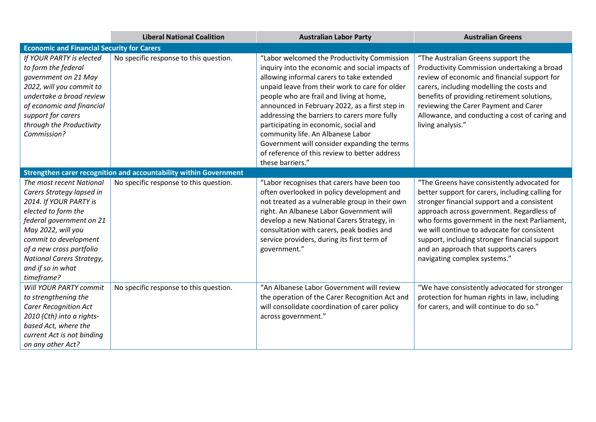|                                                                                                                                                                                                                                                                               | <b>Liberal National Coalition</b>                                 | <b>Australian Labor Party</b>                                                                                                                                                                                                                                                                                                                                                                                                                                                                                                                  | <b>Australian Greens</b>                                                                                                                                                                                                                                                                                                                                                                                            |  |  |
|-------------------------------------------------------------------------------------------------------------------------------------------------------------------------------------------------------------------------------------------------------------------------------|-------------------------------------------------------------------|------------------------------------------------------------------------------------------------------------------------------------------------------------------------------------------------------------------------------------------------------------------------------------------------------------------------------------------------------------------------------------------------------------------------------------------------------------------------------------------------------------------------------------------------|---------------------------------------------------------------------------------------------------------------------------------------------------------------------------------------------------------------------------------------------------------------------------------------------------------------------------------------------------------------------------------------------------------------------|--|--|
| <b>Economic and Financial Security for Carers</b>                                                                                                                                                                                                                             |                                                                   |                                                                                                                                                                                                                                                                                                                                                                                                                                                                                                                                                |                                                                                                                                                                                                                                                                                                                                                                                                                     |  |  |
| If YOUR PARTY is elected<br>to form the federal<br>government on 21 May<br>2022, will you commit to<br>undertake a broad review<br>of economic and financial<br>support for carers<br>through the Productivity<br>Commission?                                                 | No specific response to this question.                            | "Labor welcomed the Productivity Commission<br>inquiry into the economic and social impacts of<br>allowing informal carers to take extended<br>unpaid leave from their work to care for older<br>people who are frail and living at home,<br>announced in February 2022, as a first step in<br>addressing the barriers to carers more fully<br>participating in economic, social and<br>community life. An Albanese Labor<br>Government will consider expanding the terms<br>of reference of this review to better address<br>these barriers." | "The Australian Greens support the<br>Productivity Commission undertaking a broad<br>review of economic and financial support for<br>carers, including modelling the costs and<br>benefits of providing retirement solutions,<br>reviewing the Carer Payment and Carer<br>Allowance, and conducting a cost of caring and<br>living analysis."                                                                       |  |  |
|                                                                                                                                                                                                                                                                               | Strengthen carer recognition and accountability within Government |                                                                                                                                                                                                                                                                                                                                                                                                                                                                                                                                                |                                                                                                                                                                                                                                                                                                                                                                                                                     |  |  |
| The most recent National<br>Carers Strategy lapsed in<br>2014. If YOUR PARTY is<br>elected to form the<br>federal government on 21<br>May 2022, will you<br>commit to development<br>of a new cross portfolio<br>National Carers Strategy,<br>and if so in what<br>timeframe? | No specific response to this question.                            | "Labor recognises that carers have been too<br>often overlooked in policy development and<br>not treated as a vulnerable group in their own<br>right. An Albanese Labor Government will<br>develop a new National Carers Strategy, in<br>consultation with carers, peak bodies and<br>service providers, during its first term of<br>government."                                                                                                                                                                                              | "The Greens have consistently advocated for<br>better support for carers, including calling for<br>stronger financial support and a consistent<br>approach across government. Regardless of<br>who forms government in the next Parliament,<br>we will continue to advocate for consistent<br>support, including stronger financial support<br>and an approach that supports carers<br>navigating complex systems." |  |  |
| Will YOUR PARTY commit<br>to strengthening the<br><b>Carer Recognition Act</b><br>2010 (Cth) into a rights-<br>based Act, where the<br>current Act is not binding<br>on any other Act?                                                                                        | No specific response to this question.                            | "An Albanese Labor Government will review<br>the operation of the Carer Recognition Act and<br>will consolidate coordination of carer policy<br>across government."                                                                                                                                                                                                                                                                                                                                                                            | "We have consistently advocated for stronger<br>protection for human rights in law, including<br>for carers, and will continue to do so."                                                                                                                                                                                                                                                                           |  |  |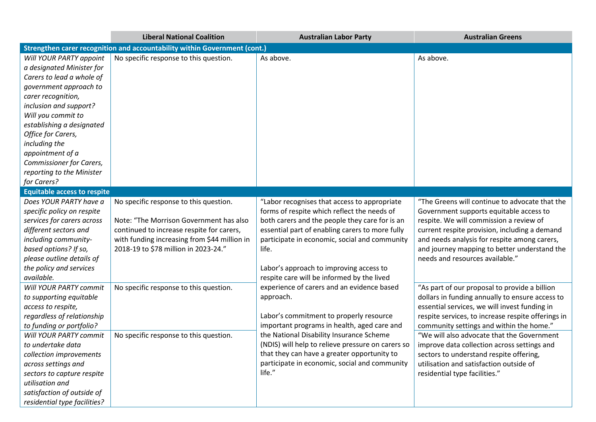|                                                                                                                                                                                                                                                                                                                                                   | <b>Liberal National Coalition</b>                                                                                                                                                                                      | <b>Australian Labor Party</b>                                                                                                                                                                                                                                                                                                                                | <b>Australian Greens</b>                                                                                                                                                                                                                                                                                                                                                                                                                                                |
|---------------------------------------------------------------------------------------------------------------------------------------------------------------------------------------------------------------------------------------------------------------------------------------------------------------------------------------------------|------------------------------------------------------------------------------------------------------------------------------------------------------------------------------------------------------------------------|--------------------------------------------------------------------------------------------------------------------------------------------------------------------------------------------------------------------------------------------------------------------------------------------------------------------------------------------------------------|-------------------------------------------------------------------------------------------------------------------------------------------------------------------------------------------------------------------------------------------------------------------------------------------------------------------------------------------------------------------------------------------------------------------------------------------------------------------------|
|                                                                                                                                                                                                                                                                                                                                                   | Strengthen carer recognition and accountability within Government (cont.)                                                                                                                                              |                                                                                                                                                                                                                                                                                                                                                              |                                                                                                                                                                                                                                                                                                                                                                                                                                                                         |
| Will YOUR PARTY appoint<br>a designated Minister for<br>Carers to lead a whole of<br>government approach to<br>carer recognition,<br>inclusion and support?<br>Will you commit to<br>establishing a designated<br>Office for Carers,<br>including the<br>appointment of a<br>Commissioner for Carers,<br>reporting to the Minister<br>for Carers? | No specific response to this question.                                                                                                                                                                                 | As above.                                                                                                                                                                                                                                                                                                                                                    | As above.                                                                                                                                                                                                                                                                                                                                                                                                                                                               |
| <b>Equitable access to respite</b>                                                                                                                                                                                                                                                                                                                |                                                                                                                                                                                                                        |                                                                                                                                                                                                                                                                                                                                                              |                                                                                                                                                                                                                                                                                                                                                                                                                                                                         |
| Does YOUR PARTY have a<br>specific policy on respite<br>services for carers across<br>different sectors and<br>including community-<br>based options? If so,<br>please outline details of<br>the policy and services<br>available.                                                                                                                | No specific response to this question.<br>Note: "The Morrison Government has also<br>continued to increase respite for carers,<br>with funding increasing from \$44 million in<br>2018-19 to \$78 million in 2023-24." | "Labor recognises that access to appropriate<br>forms of respite which reflect the needs of<br>both carers and the people they care for is an<br>essential part of enabling carers to more fully<br>participate in economic, social and community<br>life.<br>Labor's approach to improving access to<br>respite care will be informed by the lived          | "The Greens will continue to advocate that the<br>Government supports equitable access to<br>respite. We will commission a review of<br>current respite provision, including a demand<br>and needs analysis for respite among carers,<br>and journey mapping to better understand the<br>needs and resources available."                                                                                                                                                |
| Will YOUR PARTY commit<br>to supporting equitable<br>access to respite,<br>regardless of relationship<br>to funding or portfolio?<br>Will YOUR PARTY commit<br>to undertake data<br>collection improvements<br>across settings and<br>sectors to capture respite<br>utilisation and<br>satisfaction of outside of<br>residential type facilities? | No specific response to this question.<br>No specific response to this question.                                                                                                                                       | experience of carers and an evidence based<br>approach.<br>Labor's commitment to properly resource<br>important programs in health, aged care and<br>the National Disability Insurance Scheme<br>(NDIS) will help to relieve pressure on carers so<br>that they can have a greater opportunity to<br>participate in economic, social and community<br>life." | "As part of our proposal to provide a billion<br>dollars in funding annually to ensure access to<br>essential services, we will invest funding in<br>respite services, to increase respite offerings in<br>community settings and within the home."<br>"We will also advocate that the Government<br>improve data collection across settings and<br>sectors to understand respite offering,<br>utilisation and satisfaction outside of<br>residential type facilities." |